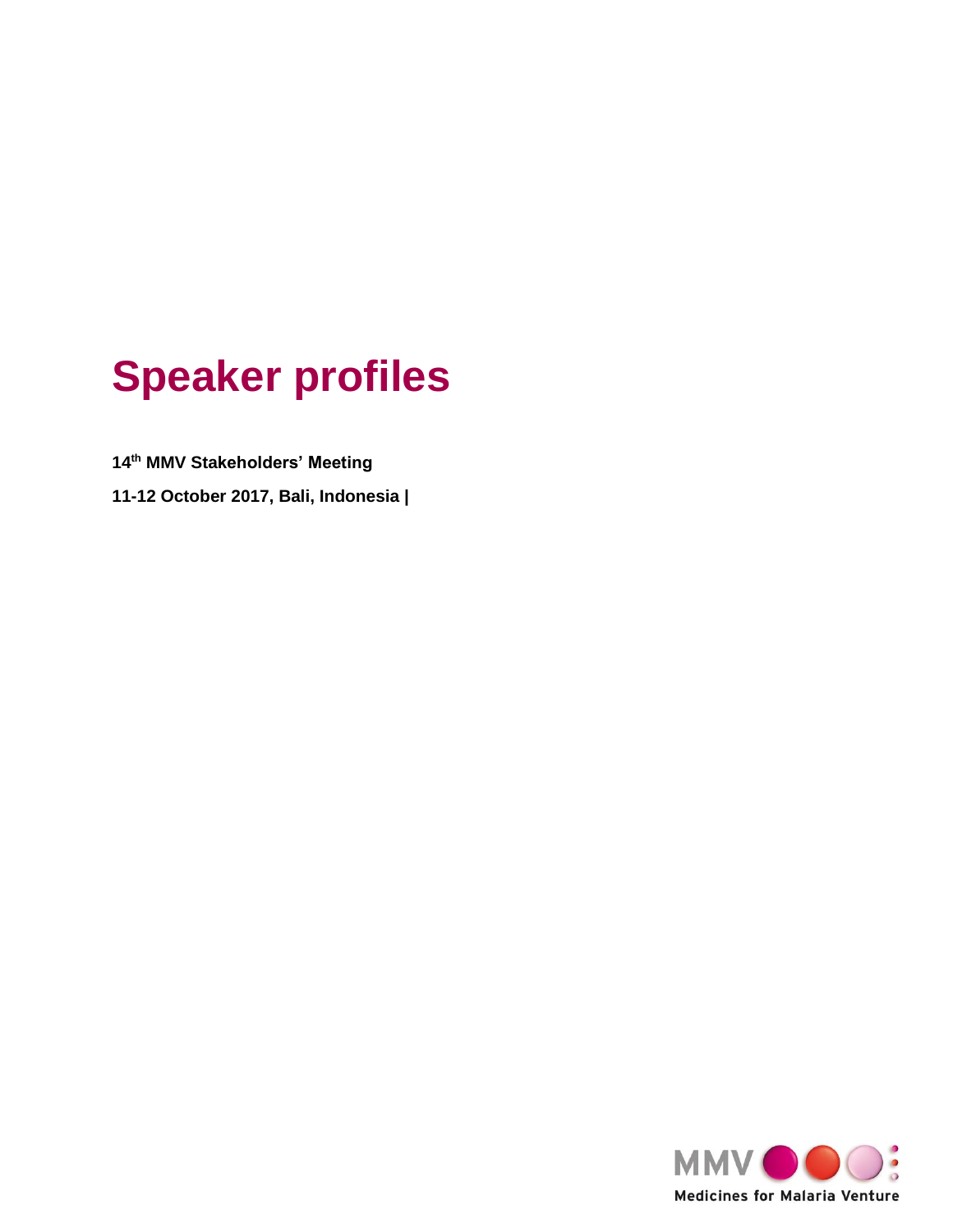# **Speaker profiles**

**14th MMV Stakeholders' Meeting** 

**11-12 October 2017, Bali, Indonesia |** 

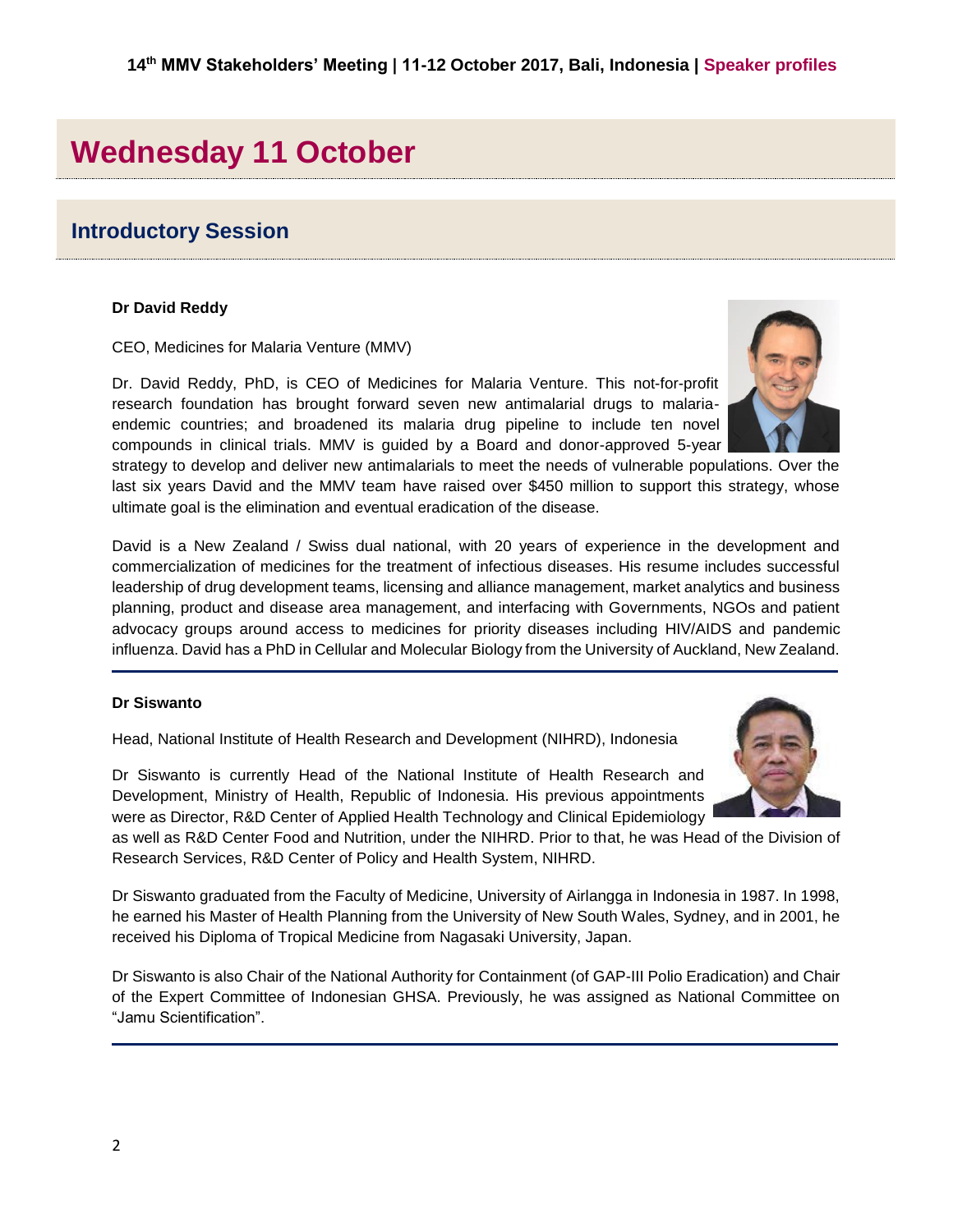# **Wednesday 11 October**

# **Introductory Session**

# **Dr David Reddy**

CEO, Medicines for Malaria Venture (MMV)

Dr. David Reddy, PhD, is CEO of Medicines for Malaria Venture. This not-for-profit research foundation has brought forward seven new antimalarial drugs to malariaendemic countries; and broadened its malaria drug pipeline to include ten novel compounds in clinical trials. MMV is guided by a Board and donor-approved 5-year

strategy to develop and deliver new antimalarials to meet the needs of vulnerable populations. Over the last six years David and the MMV team have raised over \$450 million to support this strategy, whose ultimate goal is the elimination and eventual eradication of the disease.

David is a New Zealand / Swiss dual national, with 20 years of experience in the development and commercialization of medicines for the treatment of infectious diseases. His resume includes successful leadership of drug development teams, licensing and alliance management, market analytics and business planning, product and disease area management, and interfacing with Governments, NGOs and patient advocacy groups around access to medicines for priority diseases including HIV/AIDS and pandemic influenza. David has a PhD in Cellular and Molecular Biology from the University of Auckland, New Zealand.

# **Dr Siswanto**

Head, National Institute of Health Research and Development (NIHRD), Indonesia

Dr Siswanto is currently Head of the National Institute of Health Research and Development, Ministry of Health, Republic of Indonesia. His previous appointments were as Director, R&D Center of Applied Health Technology and Clinical Epidemiology

as well as R&D Center Food and Nutrition, under the NIHRD. Prior to that, he was Head of the Division of Research Services, R&D Center of Policy and Health System, NIHRD.

Dr Siswanto graduated from the Faculty of Medicine, University of Airlangga in Indonesia in 1987. In 1998, he earned his Master of Health Planning from the University of New South Wales, Sydney, and in 2001, he received his Diploma of Tropical Medicine from Nagasaki University, Japan.

Dr Siswanto is also Chair of the National Authority for Containment (of GAP-III Polio Eradication) and Chair of the Expert Committee of Indonesian GHSA. Previously, he was assigned as National Committee on "Jamu Scientification".



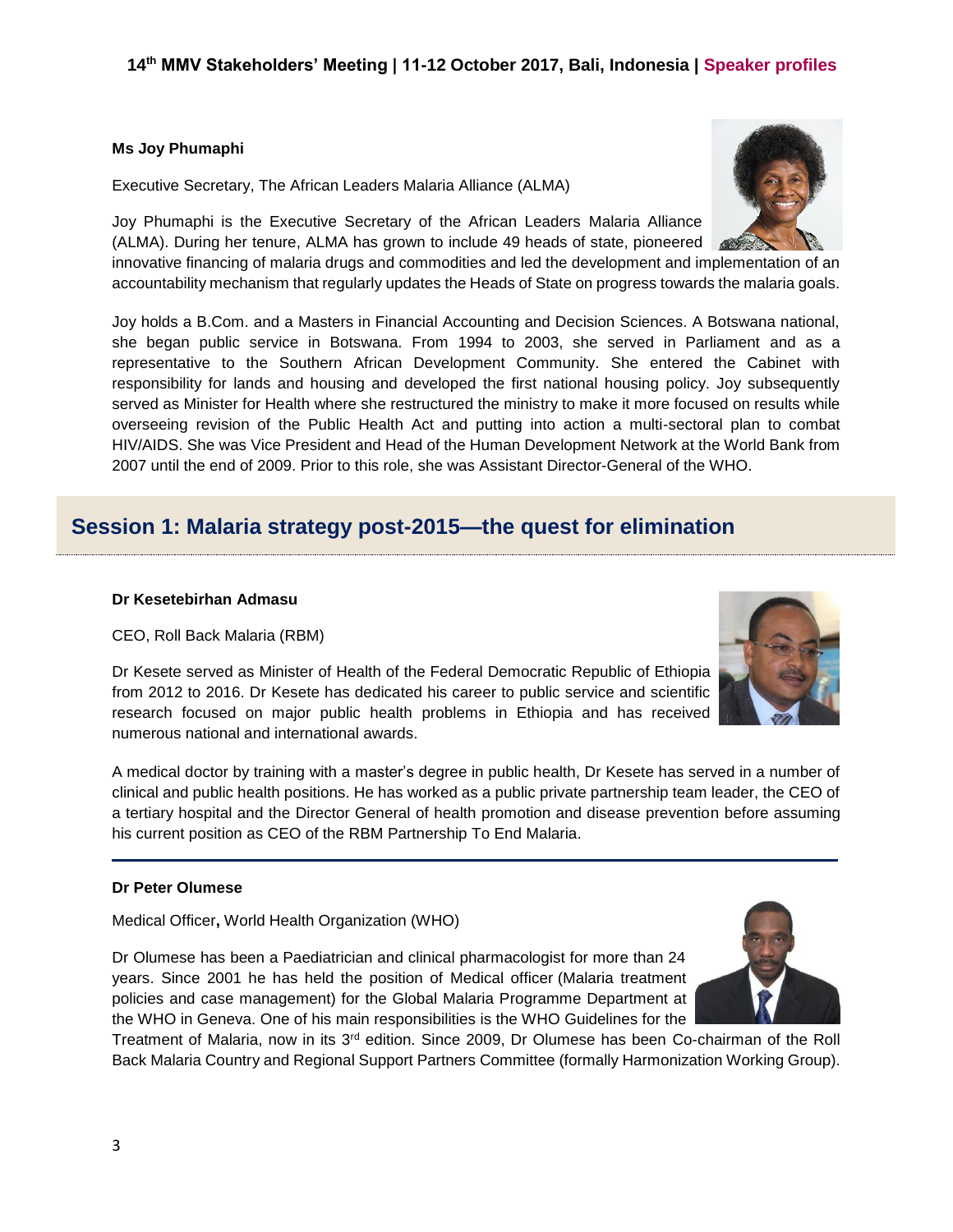## **Ms Joy Phumaphi**

Executive Secretary, The African Leaders Malaria Alliance (ALMA)

Joy Phumaphi is the Executive Secretary of the African Leaders Malaria Alliance (ALMA). During her tenure, ALMA has grown to include 49 heads of state, pioneered

innovative financing of malaria drugs and commodities and led the development and implementation of an accountability mechanism that regularly updates the Heads of State on progress towards the malaria goals.

Joy holds a B.Com. and a Masters in Financial Accounting and Decision Sciences. A Botswana national, she began public service in Botswana. From 1994 to 2003, she served in Parliament and as a representative to the Southern African Development Community. She entered the Cabinet with responsibility for lands and housing and developed the first national housing policy. Joy subsequently served as Minister for Health where she restructured the ministry to make it more focused on results while overseeing revision of the Public Health Act and putting into action a multi-sectoral plan to combat HIV/AIDS. She was Vice President and Head of the Human Development Network at the World Bank from 2007 until the end of 2009. Prior to this role, she was Assistant Director-General of the WHO.

# **Session 1: Malaria strategy post-2015—the quest for elimination**

#### **Dr Kesetebirhan Admasu**

#### CEO, Roll Back Malaria (RBM)

Dr Kesete served as Minister of Health of the Federal Democratic Republic of Ethiopia from 2012 to 2016. Dr Kesete has dedicated his career to public service and scientific research focused on major public health problems in Ethiopia and has received numerous national and international awards.

A medical doctor by training with a master's degree in public health, Dr Kesete has served in a number of clinical and public health positions. He has worked as a public private partnership team leader, the CEO of a tertiary hospital and the Director General of health promotion and disease prevention before assuming his current position as CEO of the RBM Partnership To End Malaria.

#### **Dr Peter Olumese**

Medical Officer**,** World Health Organization (WHO)

Dr Olumese has been a Paediatrician and clinical pharmacologist for more than 24 years. Since 2001 he has held the position of Medical officer (Malaria treatment policies and case management) for the Global Malaria Programme Department at the WHO in Geneva. One of his main responsibilities is the WHO Guidelines for the

Treatment of Malaria, now in its 3rd edition. Since 2009, Dr Olumese has been Co-chairman of the Roll Back Malaria Country and Regional Support Partners Committee (formally Harmonization Working Group).





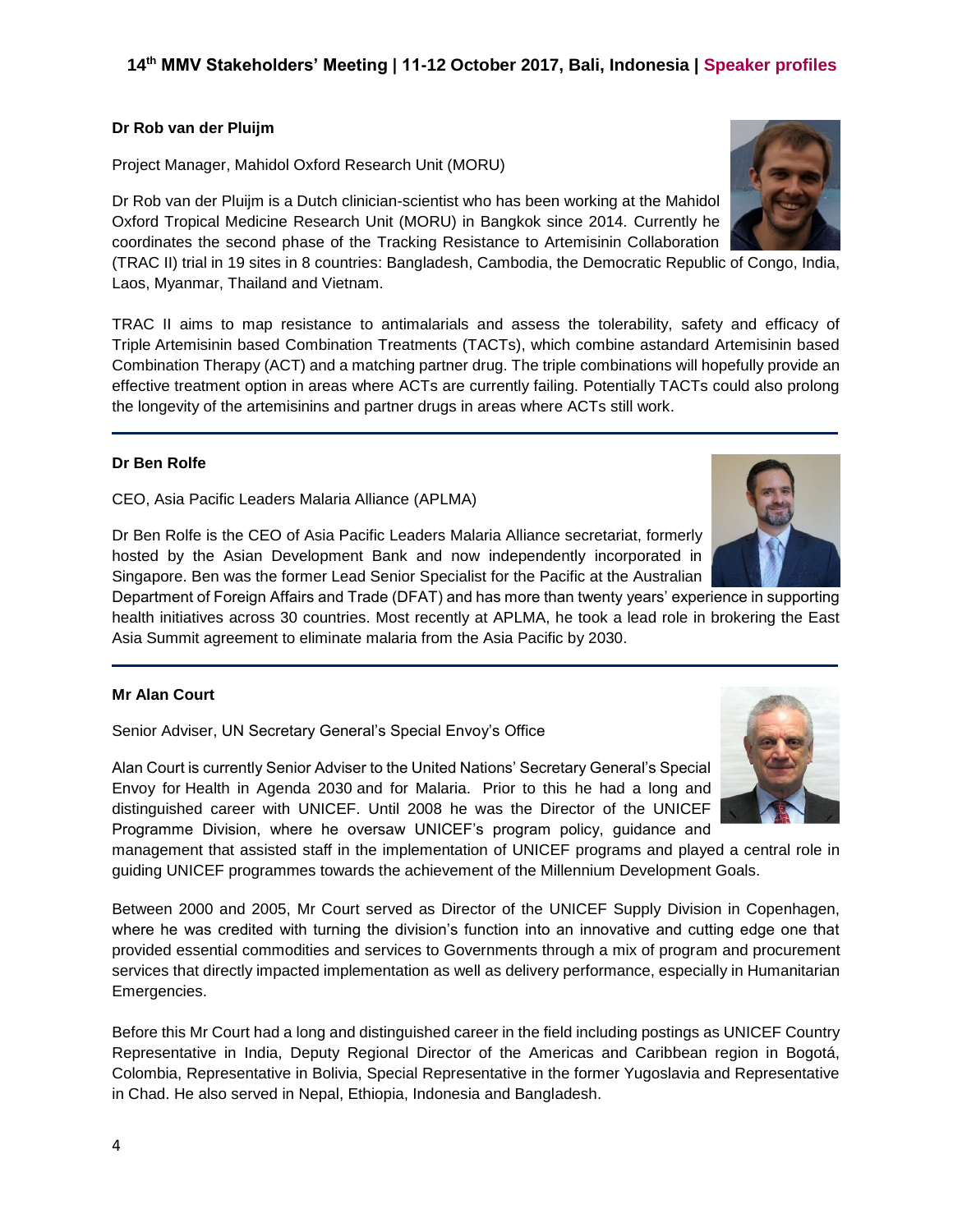#### **Dr Rob van der Pluijm**

Project Manager, Mahidol Oxford Research Unit (MORU)

Dr Rob van der Pluijm is a Dutch clinician-scientist who has been working at the Mahidol Oxford Tropical Medicine Research Unit (MORU) in Bangkok since 2014. Currently he coordinates the second phase of the Tracking Resistance to Artemisinin Collaboration

(TRAC II) trial in [19 sites in 8 countries:](http://www.wwarn.org/sites/default/files/uploads/tracii-study-sites-2_0.jpg) Bangladesh, Cambodia, the Democratic Republic of Congo, India, Laos, Myanmar, Thailand and Vietnam.

TRAC II aims to map resistance to antimalarials and assess the tolerability, safety and efficacy of Triple Artemisinin based Combination Treatments (TACTs), which combine astandard Artemisinin based Combination Therapy (ACT) and a matching partner drug. The triple combinations will hopefully provide an effective treatment option in areas where ACTs are currently failing. Potentially TACTs could also prolong the longevity of the artemisinins and partner drugs in areas where ACTs still work.

#### **Dr Ben Rolfe**

CEO, Asia Pacific Leaders Malaria Alliance (APLMA)

Dr Ben Rolfe is the CEO of Asia Pacific Leaders Malaria Alliance secretariat, formerly hosted by the Asian Development Bank and now independently incorporated in Singapore. Ben was the former Lead Senior Specialist for the Pacific at the Australian

Department of Foreign Affairs and Trade (DFAT) and has more than twenty years' experience in supporting health initiatives across 30 countries. Most recently at APLMA, he took a lead role in brokering the East Asia Summit agreement to eliminate malaria from the Asia Pacific by 2030.

#### **Mr Alan Court**

Senior Adviser, UN Secretary General's Special Envoy's Office

Alan Court is currently Senior Adviser to the United Nations' Secretary General's Special Envoy for Health in Agenda 2030 and for Malaria. Prior to this he had a long and distinguished career with UNICEF. Until 2008 he was the Director of the UNICEF Programme Division, where he oversaw UNICEF's program policy, guidance and

management that assisted staff in the implementation of UNICEF programs and played a central role in guiding UNICEF programmes towards the achievement of the Millennium Development Goals.

Between 2000 and 2005, Mr Court served as Director of the UNICEF Supply Division in Copenhagen, where he was credited with turning the division's function into an innovative and cutting edge one that provided essential commodities and services to Governments through a mix of program and procurement services that directly impacted implementation as well as delivery performance, especially in Humanitarian Emergencies.

Before this Mr Court had a long and distinguished career in the field including postings as UNICEF Country Representative in India, Deputy Regional Director of the Americas and Caribbean region in Bogotá, Colombia, Representative in Bolivia, Special Representative in the former Yugoslavia and Representative in Chad. He also served in Nepal, Ethiopia, Indonesia and Bangladesh.





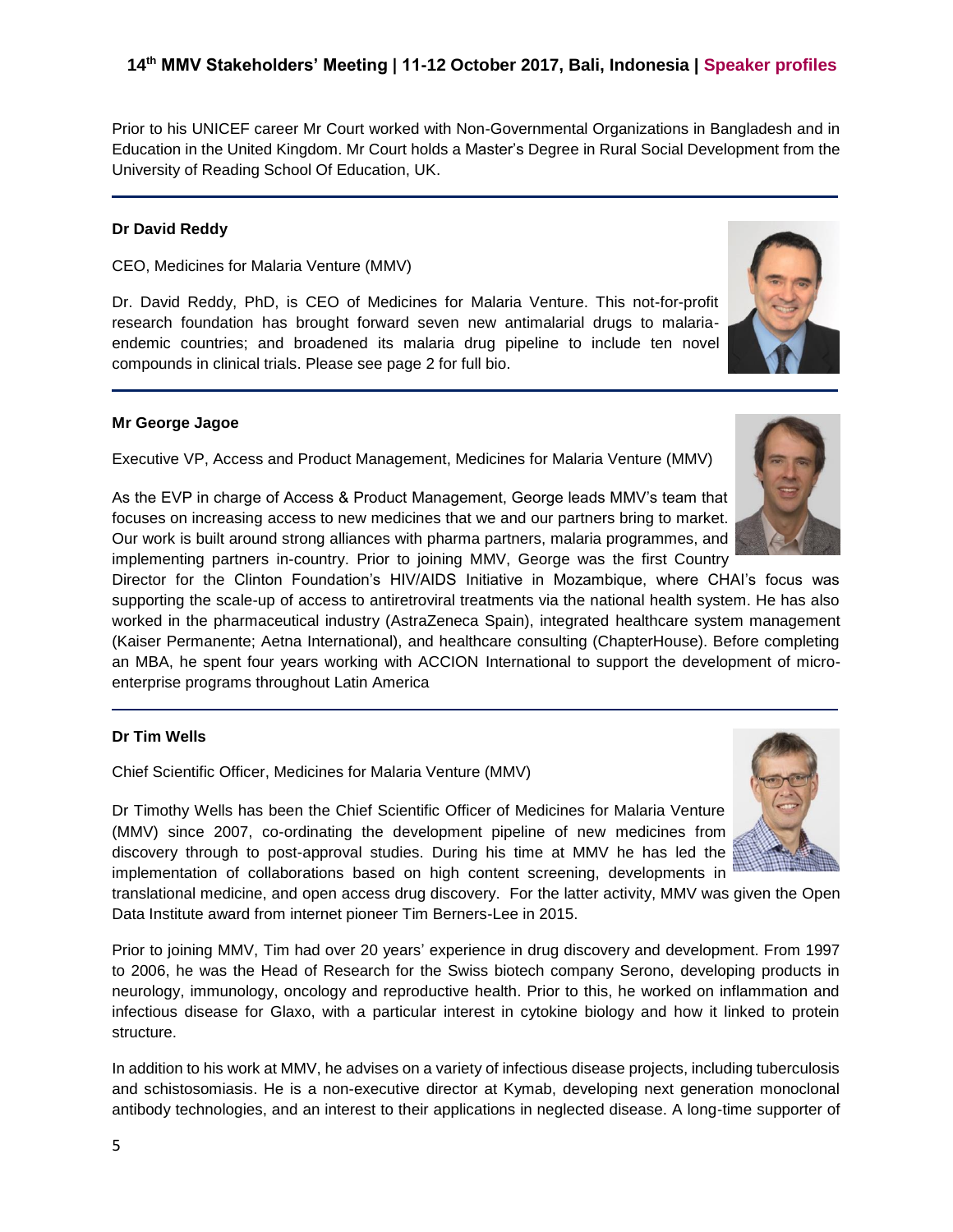Prior to his UNICEF career Mr Court worked with Non-Governmental Organizations in Bangladesh and in Education in the United Kingdom. Mr Court holds a Master's Degree in Rural Social Development from the University of Reading School Of Education, UK.

#### **Dr David Reddy**

CEO, Medicines for Malaria Venture (MMV)

Dr. David Reddy, PhD, is CEO of Medicines for Malaria Venture. This not-for-profit research foundation has brought forward seven new antimalarial drugs to malariaendemic countries; and broadened its malaria drug pipeline to include ten novel compounds in clinical trials. Please see page 2 for full bio.

#### **Mr George Jagoe**

Executive VP, Access and Product Management, Medicines for Malaria Venture (MMV)

As the EVP in charge of Access & Product Management, George leads MMV's team that focuses on increasing access to new medicines that we and our partners bring to market. Our work is built around strong alliances with pharma partners, malaria programmes, and implementing partners in-country. Prior to joining MMV, George was the first Country

Director for the Clinton Foundation's HIV/AIDS Initiative in Mozambique, where CHAI's focus was supporting the scale-up of access to antiretroviral treatments via the national health system. He has also worked in the pharmaceutical industry (AstraZeneca Spain), integrated healthcare system management (Kaiser Permanente; Aetna International), and healthcare consulting (ChapterHouse). Before completing an MBA, he spent four years working with ACCION International to support the development of microenterprise programs throughout Latin America

#### **Dr Tim Wells**

Chief Scientific Officer, Medicines for Malaria Venture (MMV)

Dr Timothy Wells has been the Chief Scientific Officer of Medicines for Malaria Venture (MMV) since 2007, co-ordinating the development pipeline of new medicines from discovery through to post-approval studies. During his time at MMV he has led the implementation of collaborations based on high content screening, developments in

translational medicine, and open access drug discovery. For the latter activity, MMV was given the Open Data Institute award from internet pioneer Tim Berners-Lee in 2015.

Prior to joining MMV, Tim had over 20 years' experience in drug discovery and development. From 1997 to 2006, he was the Head of Research for the Swiss biotech company Serono, developing products in neurology, immunology, oncology and reproductive health. Prior to this, he worked on inflammation and infectious disease for Glaxo, with a particular interest in cytokine biology and how it linked to protein structure.

In addition to his work at MMV, he advises on a variety of infectious disease projects, including tuberculosis and schistosomiasis. He is a non-executive director at Kymab, developing next generation monoclonal antibody technologies, and an interest to their applications in neglected disease. A long-time supporter of





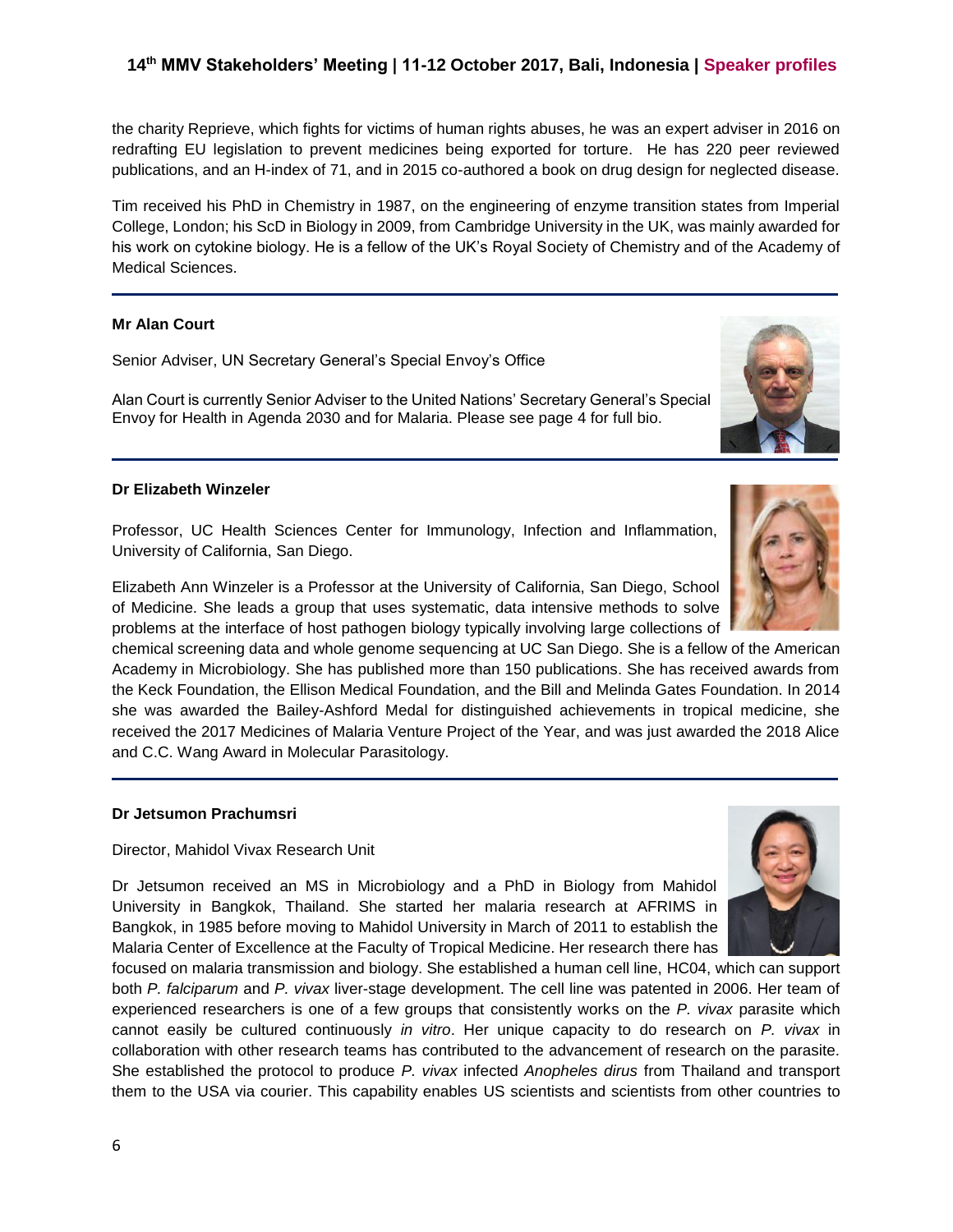the charity Reprieve, which fights for victims of human rights abuses, he was an expert adviser in 2016 on redrafting EU legislation to prevent medicines being exported for torture. He has 220 peer reviewed publications, and an H-index of 71, and in 2015 co-authored a book on drug design for neglected disease.

Tim received his PhD in Chemistry in 1987, on the engineering of enzyme transition states from Imperial College, London; his ScD in Biology in 2009, from Cambridge University in the UK, was mainly awarded for his work on cytokine biology. He is a fellow of the UK's Royal Society of Chemistry and of the Academy of Medical Sciences.

#### **Mr Alan Court**

Senior Adviser, UN Secretary General's Special Envoy's Office

Alan Court is currently Senior Adviser to the United Nations' Secretary General's Special Envoy for Health in Agenda 2030 and for Malaria. Please see page 4 for full bio.

#### **Dr Elizabeth Winzeler**

Professor, UC Health Sciences Center for Immunology, Infection and Inflammation, University of California, San Diego.

Elizabeth Ann Winzeler is a Professor at the University of California, San Diego, School of Medicine. She leads a group that uses systematic, data intensive methods to solve problems at the interface of host pathogen biology typically involving large collections of

chemical screening data and whole genome sequencing at UC San Diego. She is a fellow of the American Academy in Microbiology. She has published more than 150 publications. She has received awards from the Keck Foundation, the Ellison Medical Foundation, and the Bill and Melinda Gates Foundation. In 2014 she was awarded the Bailey-Ashford Medal for distinguished achievements in tropical medicine, she received the 2017 Medicines of Malaria Venture Project of the Year, and was just awarded the 2018 Alice and C.C. Wang Award in Molecular Parasitology.

#### **Dr Jetsumon Prachumsri**

Director, Mahidol Vivax Research Unit

Dr Jetsumon received an MS in Microbiology and a PhD in Biology from Mahidol University in Bangkok, Thailand. She started her malaria research at AFRIMS in Bangkok, in 1985 before moving to Mahidol University in March of 2011 to establish the Malaria Center of Excellence at the Faculty of Tropical Medicine. Her research there has

focused on malaria transmission and biology. She established a human cell line, HC04, which can support both *P. falciparum* and *P. vivax* liver-stage development. The cell line was patented in 2006. Her team of experienced researchers is one of a few groups that consistently works on the *P. vivax* parasite which cannot easily be cultured continuously *in vitro*. Her unique capacity to do research on *P. vivax* in collaboration with other research teams has contributed to the advancement of research on the parasite*.*  She established the protocol to produce *P. vivax* infected *Anopheles dirus* from Thailand and transport them to the USA via courier. This capability enables US scientists and scientists from other countries to



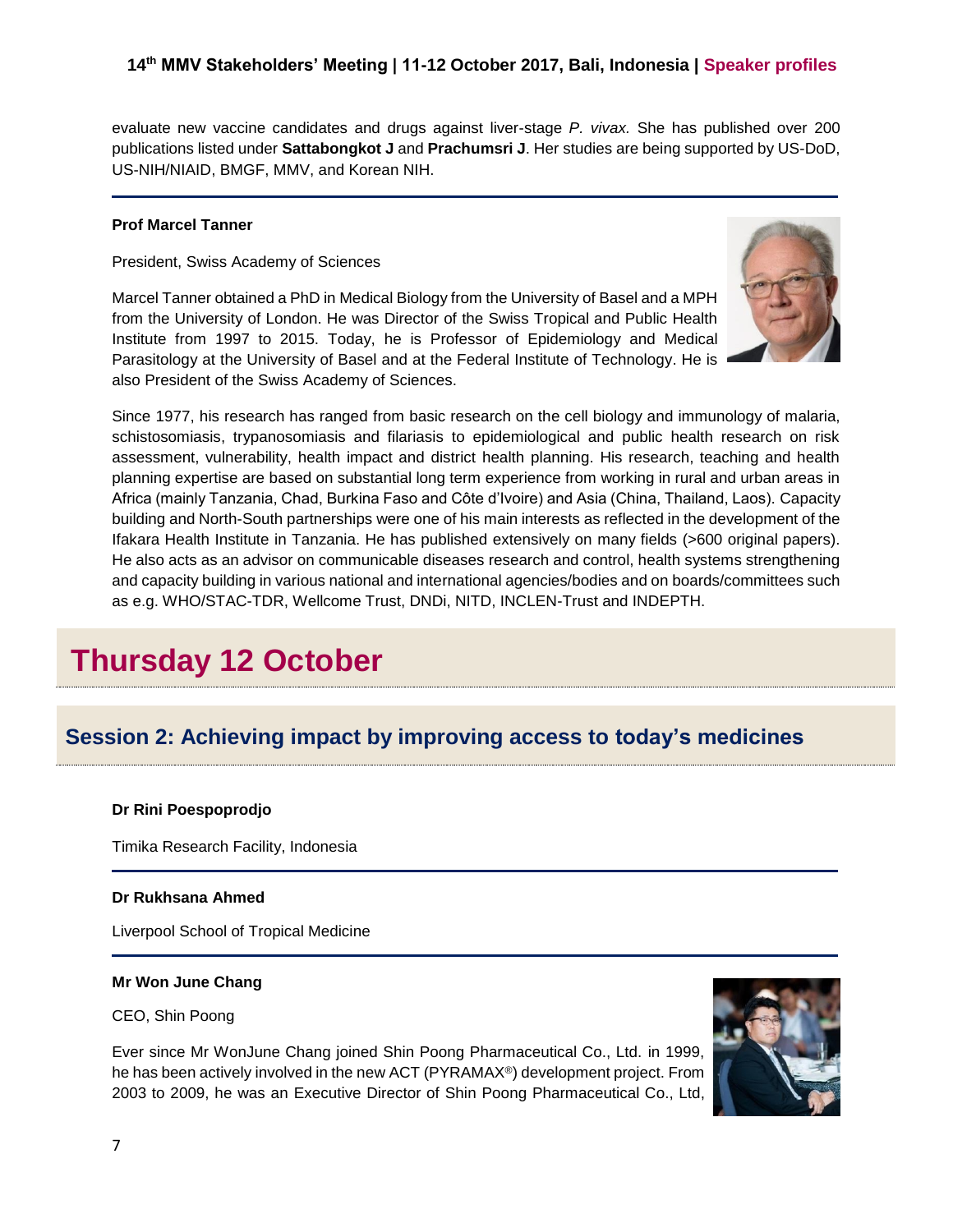evaluate new vaccine candidates and drugs against liver-stage *P. vivax.* She has published over 200 publications listed under **Sattabongkot J** and **Prachumsri J**. Her studies are being supported by US-DoD, US-NIH/NIAID, BMGF, MMV, and Korean NIH.

#### **Prof Marcel Tanner**

President, Swiss Academy of Sciences

Marcel Tanner obtained a PhD in Medical Biology from the University of Basel and a MPH from the University of London. He was Director of the Swiss Tropical and Public Health Institute from 1997 to 2015. Today, he is Professor of Epidemiology and Medical Parasitology at the University of Basel and at the Federal Institute of Technology. He is also President of the Swiss Academy of Sciences.



Since 1977, his research has ranged from basic research on the cell biology and immunology of malaria, schistosomiasis, trypanosomiasis and filariasis to epidemiological and public health research on risk assessment, vulnerability, health impact and district health planning. His research, teaching and health planning expertise are based on substantial long term experience from working in rural and urban areas in Africa (mainly Tanzania, Chad, Burkina Faso and Côte d'Ivoire) and Asia (China, Thailand, Laos). Capacity building and North-South partnerships were one of his main interests as reflected in the development of the Ifakara Health Institute in Tanzania. He has published extensively on many fields (>600 original papers). He also acts as an advisor on communicable diseases research and control, health systems strengthening and capacity building in various national and international agencies/bodies and on boards/committees such as e.g. WHO/STAC-TDR, Wellcome Trust, DNDi, NITD, INCLEN-Trust and INDEPTH.

# **Thursday 12 October**

# **Session 2: Achieving impact by improving access to today's medicines**

#### **Dr Rini Poespoprodjo**

Timika Research Facility, Indonesia

#### **Dr Rukhsana Ahmed**

Liverpool School of Tropical Medicine

#### **Mr Won June Chang**

#### CEO, Shin Poong

Ever since Mr WonJune Chang joined Shin Poong Pharmaceutical Co., Ltd. in 1999, he has been actively involved in the new ACT (PYRAMAX®) development project. From 2003 to 2009, he was an Executive Director of Shin Poong Pharmaceutical Co., Ltd,

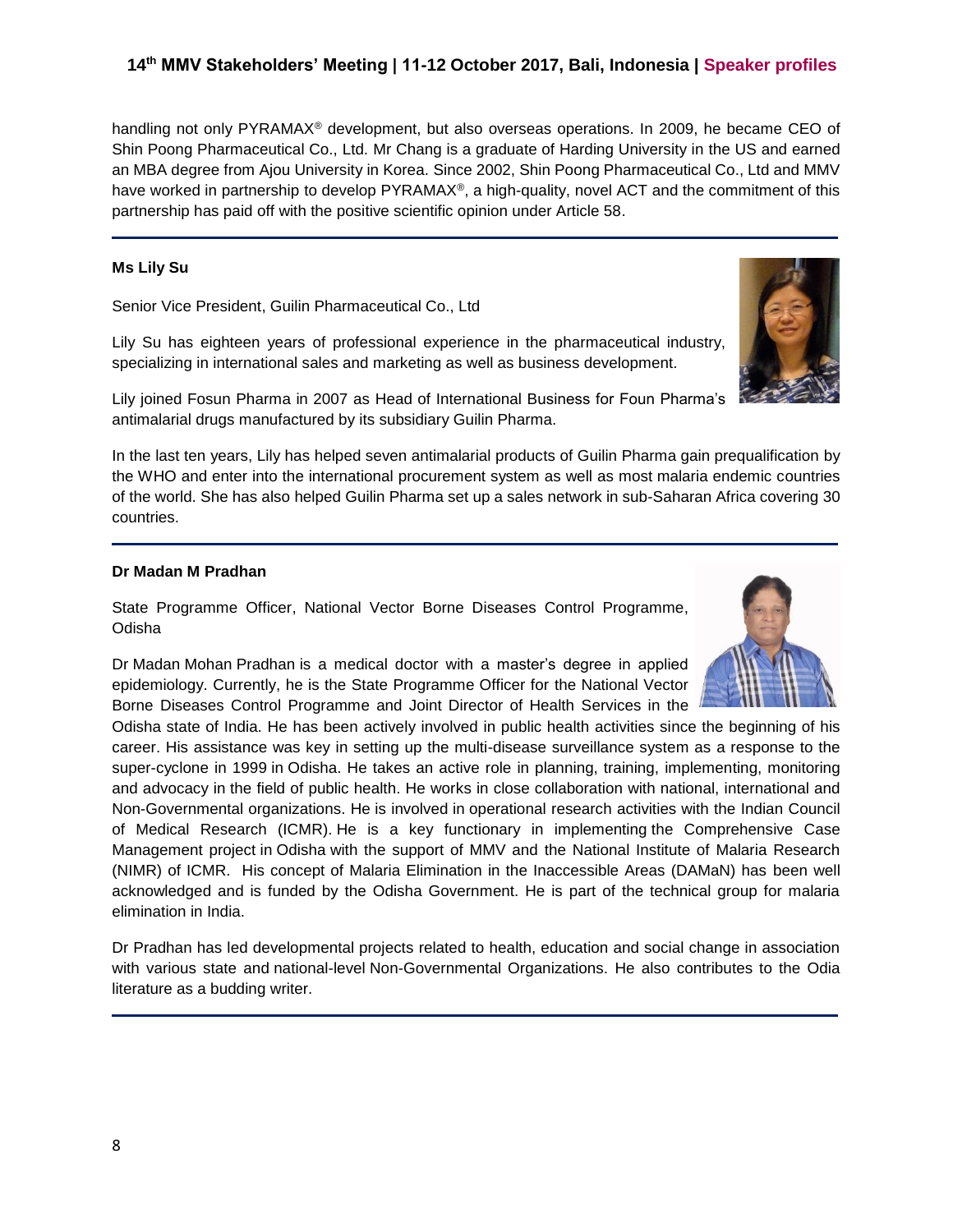handling not only PYRAMAX® development, but also overseas operations. In 2009, he became CEO of Shin Poong Pharmaceutical Co., Ltd. Mr Chang is a graduate of Harding University in the US and earned an MBA degree from Ajou University in Korea. Since 2002, Shin Poong Pharmaceutical Co., Ltd and MMV have worked in partnership to develop PYRAMAX®, a high-quality, novel ACT and the commitment of this partnership has paid off with the positive scientific opinion under Article 58.

#### **Ms Lily Su**

Senior Vice President, Guilin Pharmaceutical Co., Ltd

Lily Su has eighteen years of professional experience in the pharmaceutical industry, specializing in international sales and marketing as well as business development.

Lily joined Fosun Pharma in 2007 as Head of International Business for Foun Pharma's antimalarial drugs manufactured by its subsidiary Guilin Pharma.

In the last ten years, Lily has helped seven antimalarial products of Guilin Pharma gain prequalification by the WHO and enter into the international procurement system as well as most malaria endemic countries of the world. She has also helped Guilin Pharma set up a sales network in sub-Saharan Africa covering 30 countries.

#### **Dr Madan M Pradhan**

State Programme Officer, National Vector Borne Diseases Control Programme, Odisha

Dr Madan Mohan Pradhan is a medical doctor with a master's degree in applied epidemiology. Currently, he is the State Programme Officer for the National Vector Borne Diseases Control Programme and Joint Director of Health Services in the

Odisha state of India. He has been actively involved in public health activities since the beginning of his career. His assistance was key in setting up the multi-disease surveillance system as a response to the super-cyclone in 1999 in Odisha. He takes an active role in planning, training, implementing, monitoring and advocacy in the field of public health. He works in close collaboration with national, international and Non-Governmental organizations. He is involved in operational research activities with the Indian Council of Medical Research (ICMR). He is a key functionary in implementing the Comprehensive Case Management project in Odisha with the support of MMV and the National Institute of Malaria Research (NIMR) of ICMR. His concept of Malaria Elimination in the Inaccessible Areas (DAMaN) has been well acknowledged and is funded by the Odisha Government. He is part of the technical group for malaria elimination in India.

Dr Pradhan has led developmental projects related to health, education and social change in association with various state and national-level Non-Governmental Organizations. He also contributes to the Odia literature as a budding writer.

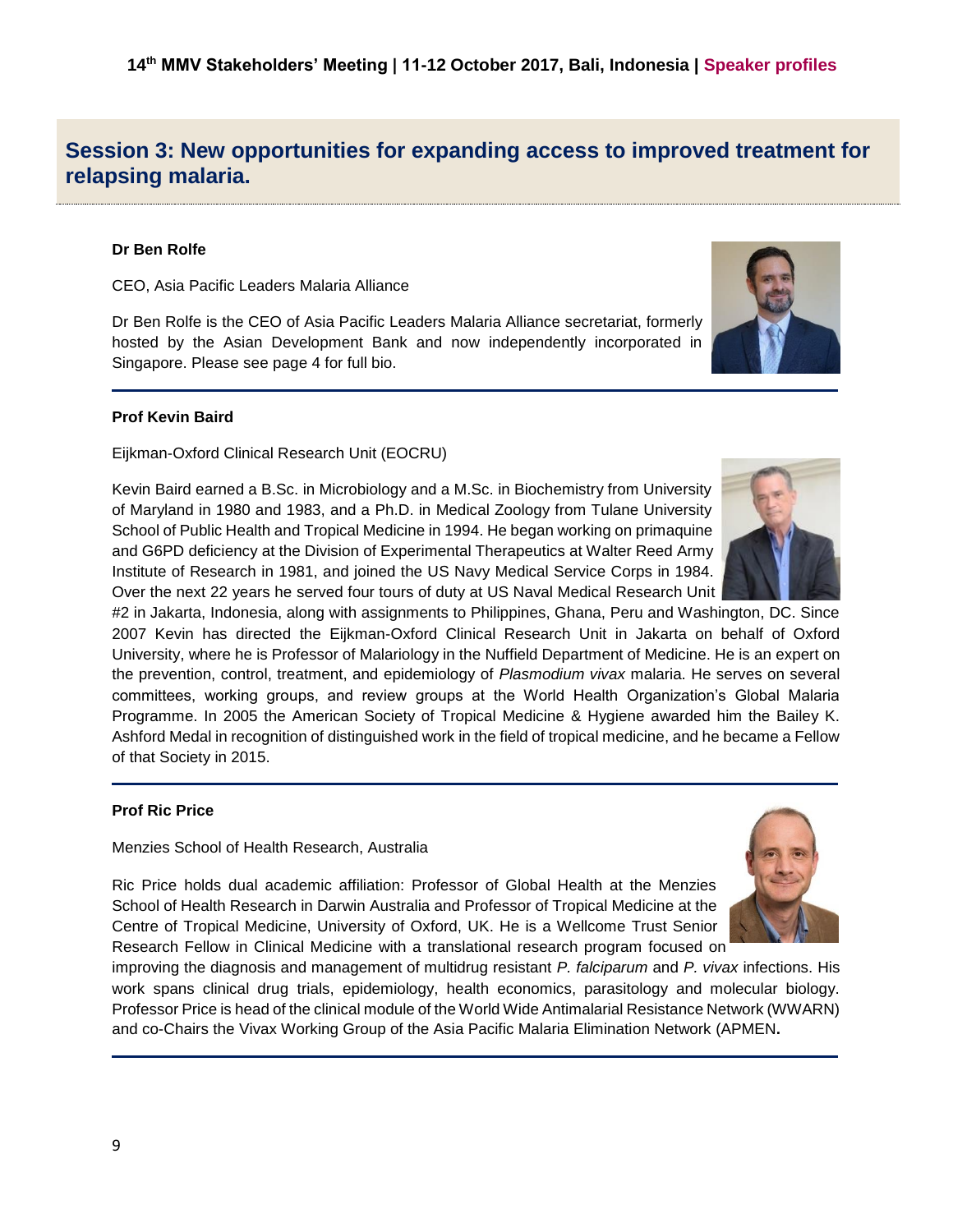# **Session 3: New opportunities for expanding access to improved treatment for relapsing malaria.**

### **Dr Ben Rolfe**

CEO, Asia Pacific Leaders Malaria Alliance

Dr Ben Rolfe is the CEO of Asia Pacific Leaders Malaria Alliance secretariat, formerly hosted by the Asian Development Bank and now independently incorporated in Singapore. Please see page 4 for full bio.

#### **Prof Kevin Baird**

Eijkman-Oxford Clinical Research Unit (EOCRU)

Kevin Baird earned a B.Sc. in Microbiology and a M.Sc. in Biochemistry from University of Maryland in 1980 and 1983, and a Ph.D. in Medical Zoology from Tulane University School of Public Health and Tropical Medicine in 1994. He began working on primaquine and G6PD deficiency at the Division of Experimental Therapeutics at Walter Reed Army Institute of Research in 1981, and joined the US Navy Medical Service Corps in 1984. Over the next 22 years he served four tours of duty at US Naval Medical Research Unit

#2 in Jakarta, Indonesia, along with assignments to Philippines, Ghana, Peru and Washington, DC. Since 2007 Kevin has directed the Eijkman-Oxford Clinical Research Unit in Jakarta on behalf of Oxford University, where he is Professor of Malariology in the Nuffield Department of Medicine. He is an expert on the prevention, control, treatment, and epidemiology of *Plasmodium vivax* malaria. He serves on several committees, working groups, and review groups at the World Health Organization's Global Malaria Programme. In 2005 the American Society of Tropical Medicine & Hygiene awarded him the Bailey K. Ashford Medal in recognition of distinguished work in the field of tropical medicine, and he became a Fellow of that Society in 2015.

#### **Prof Ric Price**

Menzies School of Health Research, Australia

Ric Price holds dual academic affiliation: Professor of Global Health at the Menzies School of Health Research in Darwin Australia and Professor of Tropical Medicine at the Centre of Tropical Medicine, University of Oxford, UK. He is a Wellcome Trust Senior Research Fellow in Clinical Medicine with a translational research program focused on

improving the diagnosis and management of multidrug resistant *P. falciparum* and *P. vivax* infections. His work spans clinical drug trials, epidemiology, health economics, parasitology and molecular biology. Professor Price is head of the clinical module of the World Wide Antimalarial Resistance Network (WWARN) and co-Chairs the Vivax Working Group of the Asia Pacific Malaria Elimination Network (APMEN**.**





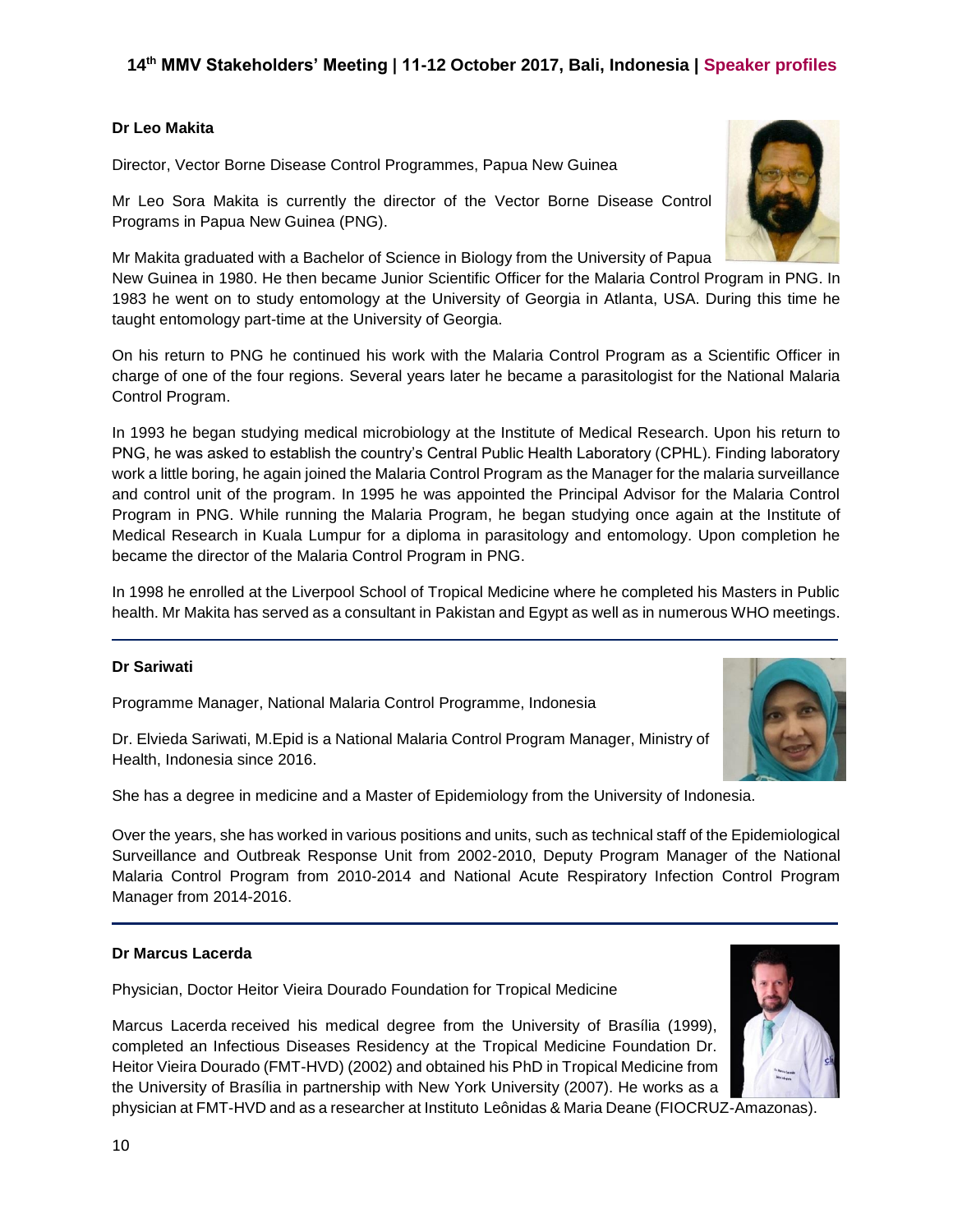#### **Dr Leo Makita**

Director, Vector Borne Disease Control Programmes, Papua New Guinea

Mr Leo Sora Makita is currently the director of the Vector Borne Disease Control Programs in Papua New Guinea (PNG).

Mr Makita graduated with a Bachelor of Science in Biology from the University of Papua

New Guinea in 1980. He then became Junior Scientific Officer for the Malaria Control Program in PNG. In 1983 he went on to study entomology at the University of Georgia in Atlanta, USA. During this time he taught entomology part-time at the University of Georgia.

On his return to PNG he continued his work with the Malaria Control Program as a Scientific Officer in charge of one of the four regions. Several years later he became a parasitologist for the National Malaria Control Program.

In 1993 he began studying medical microbiology at the Institute of Medical Research. Upon his return to PNG, he was asked to establish the country's Central Public Health Laboratory (CPHL). Finding laboratory work a little boring, he again joined the Malaria Control Program as the Manager for the malaria surveillance and control unit of the program. In 1995 he was appointed the Principal Advisor for the Malaria Control Program in PNG. While running the Malaria Program, he began studying once again at the Institute of Medical Research in Kuala Lumpur for a diploma in parasitology and entomology. Upon completion he became the director of the Malaria Control Program in PNG.

In 1998 he enrolled at the Liverpool School of Tropical Medicine where he completed his Masters in Public health. Mr Makita has served as a consultant in Pakistan and Egypt as well as in numerous WHO meetings.

#### **Dr Sariwati**

Programme Manager, National Malaria Control Programme, Indonesia

Dr. Elvieda Sariwati, M.Epid is a National Malaria Control Program Manager, Ministry of Health, Indonesia since 2016.

She has a degree in medicine and a Master of Epidemiology from the University of Indonesia.

Over the years, she has worked in various positions and units, such as technical staff of the Epidemiological Surveillance and Outbreak Response Unit from 2002-2010, Deputy Program Manager of the National Malaria Control Program from 2010-2014 and National Acute Respiratory Infection Control Program Manager from 2014-2016.

#### **Dr Marcus Lacerda**

Physician, Doctor Heitor Vieira Dourado Foundation for Tropical Medicine

Marcus Lacerda received his medical degree from the University of Brasília (1999), completed an Infectious Diseases Residency at the Tropical Medicine Foundation Dr. Heitor Vieira Dourado (FMT-HVD) (2002) and obtained his PhD in Tropical Medicine from the University of Brasília in partnership with New York University (2007). He works as a





physician at FMT-HVD and as a researcher at Instituto Leônidas & Maria Deane (FIOCRUZ-Amazonas).

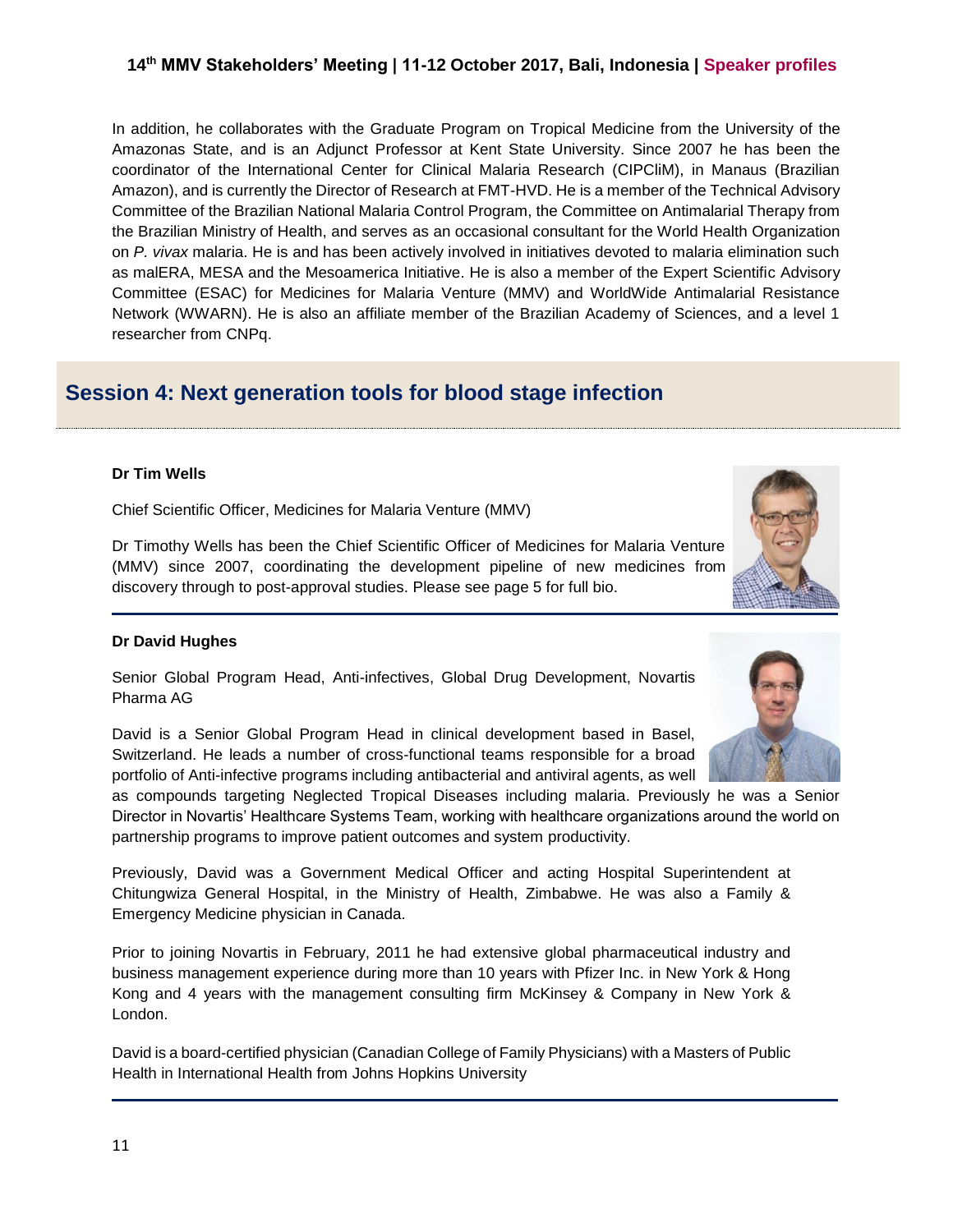In addition, he collaborates with the Graduate Program on Tropical Medicine from the University of the Amazonas State, and is an Adjunct Professor at Kent State University. Since 2007 he has been the coordinator of the International Center for Clinical Malaria Research (CIPCliM), in Manaus (Brazilian Amazon), and is currently the Director of Research at FMT-HVD. He is a member of the Technical Advisory Committee of the Brazilian National Malaria Control Program, the Committee on Antimalarial Therapy from the Brazilian Ministry of Health, and serves as an occasional consultant for the World Health Organization on *P. vivax* malaria. He is and has been actively involved in initiatives devoted to malaria elimination such as malERA, MESA and the Mesoamerica Initiative. He is also a member of the Expert Scientific Advisory Committee (ESAC) for Medicines for Malaria Venture (MMV) and WorldWide Antimalarial Resistance Network (WWARN). He is also an affiliate member of the Brazilian Academy of Sciences, and a level 1 researcher from CNPq.

# **Session 4: Next generation tools for blood stage infection**

#### **Dr Tim Wells**

Chief Scientific Officer, Medicines for Malaria Venture (MMV)

Dr Timothy Wells has been the Chief Scientific Officer of Medicines for Malaria Venture (MMV) since 2007, coordinating the development pipeline of new medicines from discovery through to post-approval studies. Please see page 5 for full bio.

#### **Dr David Hughes**

Senior Global Program Head, Anti-infectives, Global Drug Development, Novartis Pharma AG

David is a Senior Global Program Head in clinical development based in Basel, Switzerland. He leads a number of cross-functional teams responsible for a broad portfolio of Anti-infective programs including antibacterial and antiviral agents, as well

as compounds targeting Neglected Tropical Diseases including malaria. Previously he was a Senior Director in Novartis' Healthcare Systems Team, working with healthcare organizations around the world on partnership programs to improve patient outcomes and system productivity.

Previously, David was a Government Medical Officer and acting Hospital Superintendent at Chitungwiza General Hospital, in the Ministry of Health, Zimbabwe. He was also a Family & Emergency Medicine physician in Canada.

Prior to joining Novartis in February, 2011 he had extensive global pharmaceutical industry and business management experience during more than 10 years with Pfizer Inc. in New York & Hong Kong and 4 years with the management consulting firm McKinsey & Company in New York & London.

David is a board-certified physician (Canadian College of Family Physicians) with a Masters of Public Health in International Health from Johns Hopkins University

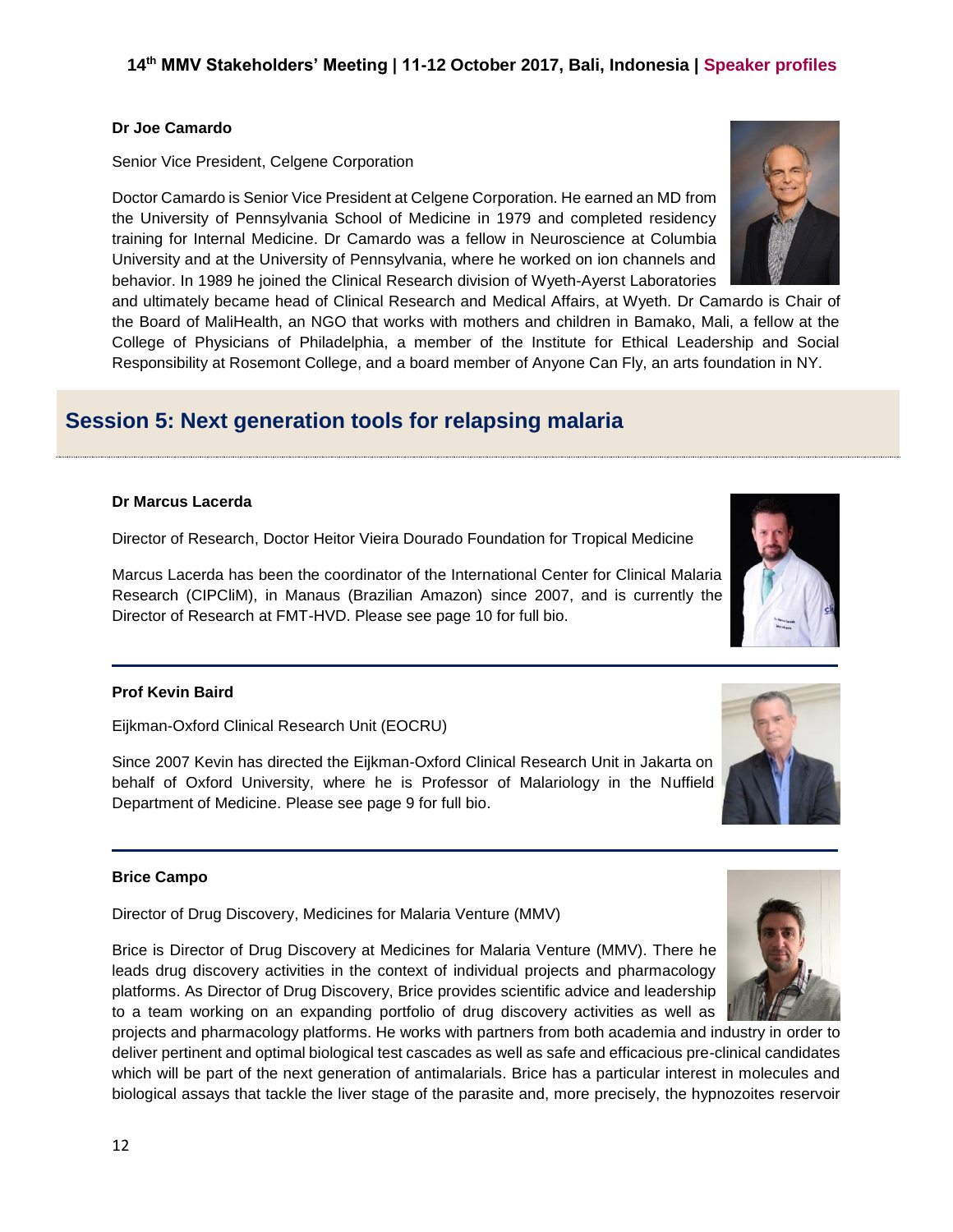#### **Dr Joe Camardo**

Senior Vice President, Celgene Corporation

Doctor Camardo is Senior Vice President at Celgene Corporation. He earned an MD from the University of Pennsylvania School of Medicine in 1979 and completed residency training for Internal Medicine. Dr Camardo was a fellow in Neuroscience at Columbia University and at the University of Pennsylvania, where he worked on ion channels and behavior. In 1989 he joined the Clinical Research division of Wyeth-Ayerst Laboratories

and ultimately became head of Clinical Research and Medical Affairs, at Wyeth. Dr Camardo is Chair of the Board of MaliHealth, an NGO that works with mothers and children in Bamako, Mali, a fellow at the College of Physicians of Philadelphia, a member of the Institute for Ethical Leadership and Social Responsibility at Rosemont College, and a board member of Anyone Can Fly, an arts foundation in NY.

# **Session 5: Next generation tools for relapsing malaria**

#### **Dr Marcus Lacerda**

Director of Research, Doctor Heitor Vieira Dourado Foundation for Tropical Medicine

Marcus Lacerda has been the coordinator of the International Center for Clinical Malaria Research (CIPCliM), in Manaus (Brazilian Amazon) since 2007, and is currently the Director of Research at FMT-HVD. Please see page 10 for full bio.

#### **Prof Kevin Baird**

Eijkman-Oxford Clinical Research Unit (EOCRU)

Since 2007 Kevin has directed the Eijkman-Oxford Clinical Research Unit in Jakarta on behalf of Oxford University, where he is Professor of Malariology in the Nuffield Department of Medicine. Please see page 9 for full bio.

#### **Brice Campo**

Director of Drug Discovery, Medicines for Malaria Venture (MMV)

Brice is Director of Drug Discovery at Medicines for Malaria Venture (MMV). There he leads drug discovery activities in the context of individual projects and pharmacology platforms. As Director of Drug Discovery, Brice provides scientific advice and leadership to a team working on an expanding portfolio of drug discovery activities as well as

projects and pharmacology platforms. He works with partners from both academia and industry in order to deliver pertinent and optimal biological test cascades as well as safe and efficacious pre-clinical candidates which will be part of the next generation of antimalarials. Brice has a particular interest in molecules and biological assays that tackle the liver stage of the parasite and, more precisely, the hypnozoites reservoir